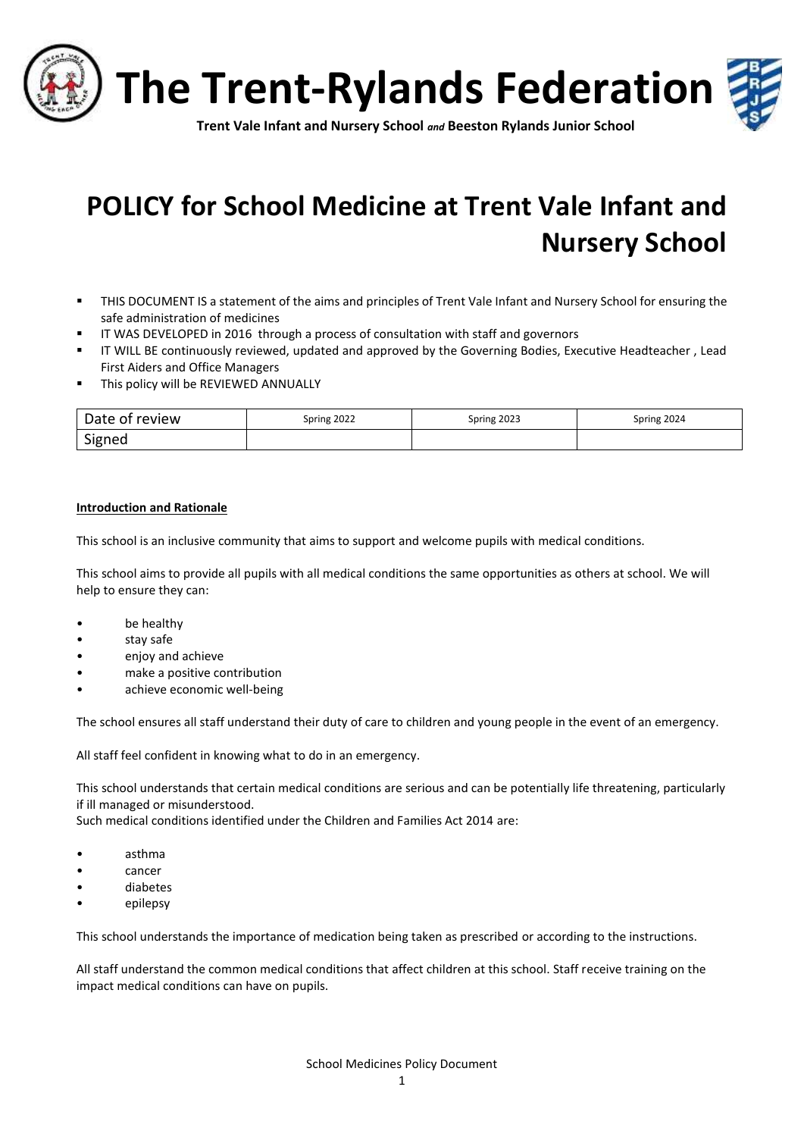

# **POLICY for School Medicine at Trent Vale Infant and Nursery School**

- THIS DOCUMENT IS a statement of the aims and principles of Trent Vale Infant and Nursery School for ensuring the safe administration of medicines
- **■** IT WAS DEVELOPED in 2016 through a process of consultation with staff and governors
- IT WILL BE continuously reviewed, updated and approved by the Governing Bodies, Executive Headteacher , Lead First Aiders and Office Managers
- **■** This policy will be REVIEWED ANNUALLY

| Date of review | Spring 2022 | Spring 2023 | Spring 2024 |
|----------------|-------------|-------------|-------------|
| Signed         |             |             |             |

#### **Introduction and Rationale**

This school is an inclusive community that aims to support and welcome pupils with medical conditions.

This school aims to provide all pupils with all medical conditions the same opportunities as others at school. We will help to ensure they can:

- be healthy
- stay safe
- enjoy and achieve
- make a positive contribution
- achieve economic well-being

The school ensures all staff understand their duty of care to children and young people in the event of an emergency.

All staff feel confident in knowing what to do in an emergency.

This school understands that certain medical conditions are serious and can be potentially life threatening, particularly if ill managed or misunderstood.

Such medical conditions identified under the Children and Families Act 2014 are:

- asthma
- cancer
- diabetes
- epilepsy

This school understands the importance of medication being taken as prescribed or according to the instructions.

All staff understand the common medical conditions that affect children at this school. Staff receive training on the impact medical conditions can have on pupils.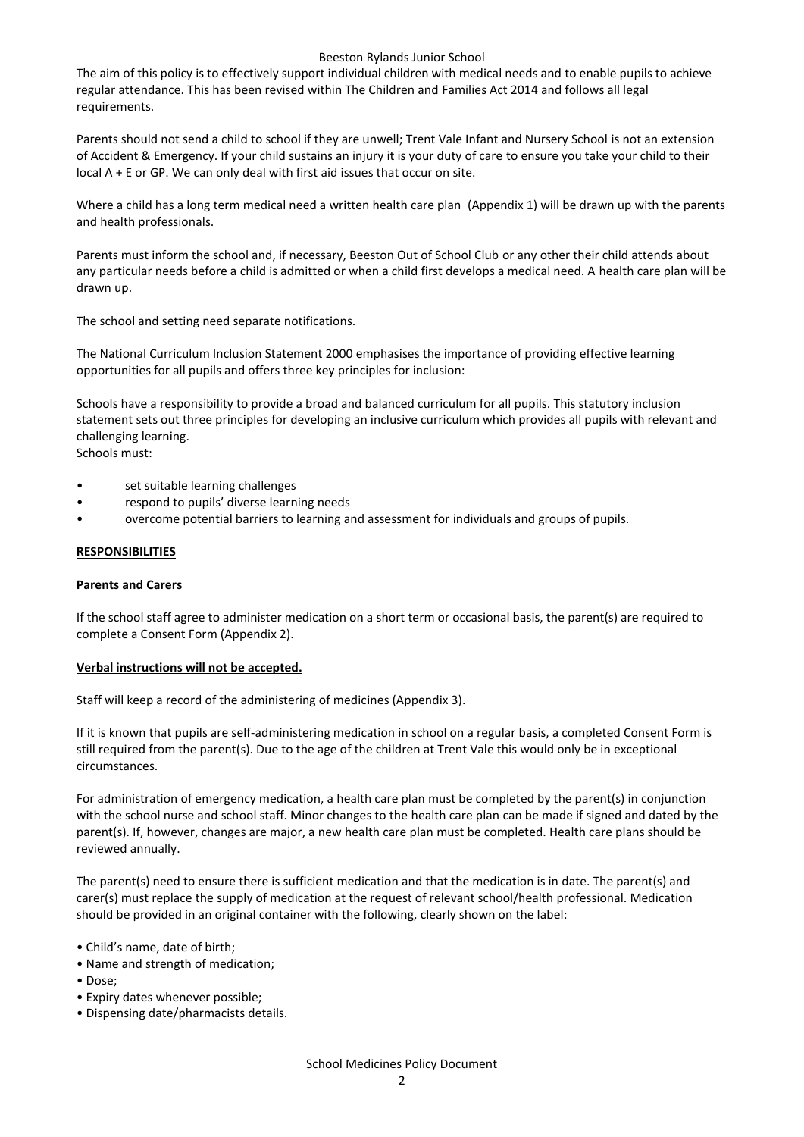#### Beeston Rylands Junior School

The aim of this policy is to effectively support individual children with medical needs and to enable pupils to achieve regular attendance. This has been revised within The Children and Families Act 2014 and follows all legal requirements.

Parents should not send a child to school if they are unwell; Trent Vale Infant and Nursery School is not an extension of Accident & Emergency. If your child sustains an injury it is your duty of care to ensure you take your child to their local A + E or GP. We can only deal with first aid issues that occur on site.

Where a child has a long term medical need a written health care plan (Appendix 1) will be drawn up with the parents and health professionals.

Parents must inform the school and, if necessary, Beeston Out of School Club or any other their child attends about any particular needs before a child is admitted or when a child first develops a medical need. A health care plan will be drawn up.

The school and setting need separate notifications.

The National Curriculum Inclusion Statement 2000 emphasises the importance of providing effective learning opportunities for all pupils and offers three key principles for inclusion:

Schools have a responsibility to provide a broad and balanced curriculum for all pupils. This statutory inclusion statement sets out three principles for developing an inclusive curriculum which provides all pupils with relevant and challenging learning. Schools must:

- set suitable learning challenges
- respond to pupils' diverse learning needs
- overcome potential barriers to learning and assessment for individuals and groups of pupils.

#### **RESPONSIBILITIES**

#### **Parents and Carers**

If the school staff agree to administer medication on a short term or occasional basis, the parent(s) are required to complete a Consent Form (Appendix 2).

#### **Verbal instructions will not be accepted.**

Staff will keep a record of the administering of medicines (Appendix 3).

If it is known that pupils are self-administering medication in school on a regular basis, a completed Consent Form is still required from the parent(s). Due to the age of the children at Trent Vale this would only be in exceptional circumstances.

For administration of emergency medication, a health care plan must be completed by the parent(s) in conjunction with the school nurse and school staff. Minor changes to the health care plan can be made if signed and dated by the parent(s). If, however, changes are major, a new health care plan must be completed. Health care plans should be reviewed annually.

The parent(s) need to ensure there is sufficient medication and that the medication is in date. The parent(s) and carer(s) must replace the supply of medication at the request of relevant school/health professional. Medication should be provided in an original container with the following, clearly shown on the label:

- Child's name, date of birth;
- Name and strength of medication;
- Dose;
- Expiry dates whenever possible;
- Dispensing date/pharmacists details.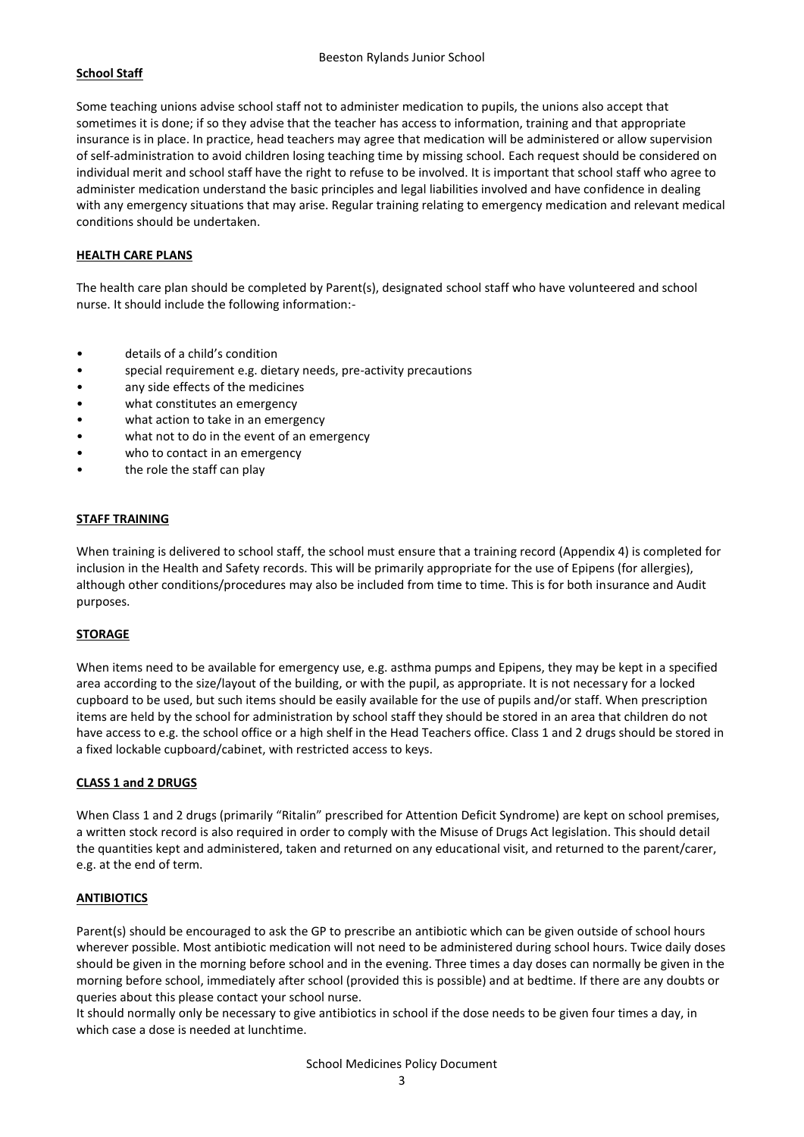#### **School Staff**

Some teaching unions advise school staff not to administer medication to pupils, the unions also accept that sometimes it is done; if so they advise that the teacher has access to information, training and that appropriate insurance is in place. In practice, head teachers may agree that medication will be administered or allow supervision of self-administration to avoid children losing teaching time by missing school. Each request should be considered on individual merit and school staff have the right to refuse to be involved. It is important that school staff who agree to administer medication understand the basic principles and legal liabilities involved and have confidence in dealing with any emergency situations that may arise. Regular training relating to emergency medication and relevant medical conditions should be undertaken.

#### **HEALTH CARE PLANS**

The health care plan should be completed by Parent(s), designated school staff who have volunteered and school nurse. It should include the following information:-

- details of a child's condition
- special requirement e.g. dietary needs, pre-activity precautions
- any side effects of the medicines
- what constitutes an emergency
- what action to take in an emergency
- what not to do in the event of an emergency
- who to contact in an emergency
- the role the staff can play

#### **STAFF TRAINING**

When training is delivered to school staff, the school must ensure that a training record (Appendix 4) is completed for inclusion in the Health and Safety records. This will be primarily appropriate for the use of Epipens (for allergies), although other conditions/procedures may also be included from time to time. This is for both insurance and Audit purposes.

#### **STORAGE**

When items need to be available for emergency use, e.g. asthma pumps and Epipens, they may be kept in a specified area according to the size/layout of the building, or with the pupil, as appropriate. It is not necessary for a locked cupboard to be used, but such items should be easily available for the use of pupils and/or staff. When prescription items are held by the school for administration by school staff they should be stored in an area that children do not have access to e.g. the school office or a high shelf in the Head Teachers office. Class 1 and 2 drugs should be stored in a fixed lockable cupboard/cabinet, with restricted access to keys.

#### **CLASS 1 and 2 DRUGS**

When Class 1 and 2 drugs (primarily "Ritalin" prescribed for Attention Deficit Syndrome) are kept on school premises, a written stock record is also required in order to comply with the Misuse of Drugs Act legislation. This should detail the quantities kept and administered, taken and returned on any educational visit, and returned to the parent/carer, e.g. at the end of term.

#### **ANTIBIOTICS**

Parent(s) should be encouraged to ask the GP to prescribe an antibiotic which can be given outside of school hours wherever possible. Most antibiotic medication will not need to be administered during school hours. Twice daily doses should be given in the morning before school and in the evening. Three times a day doses can normally be given in the morning before school, immediately after school (provided this is possible) and at bedtime. If there are any doubts or queries about this please contact your school nurse.

It should normally only be necessary to give antibiotics in school if the dose needs to be given four times a day, in which case a dose is needed at lunchtime.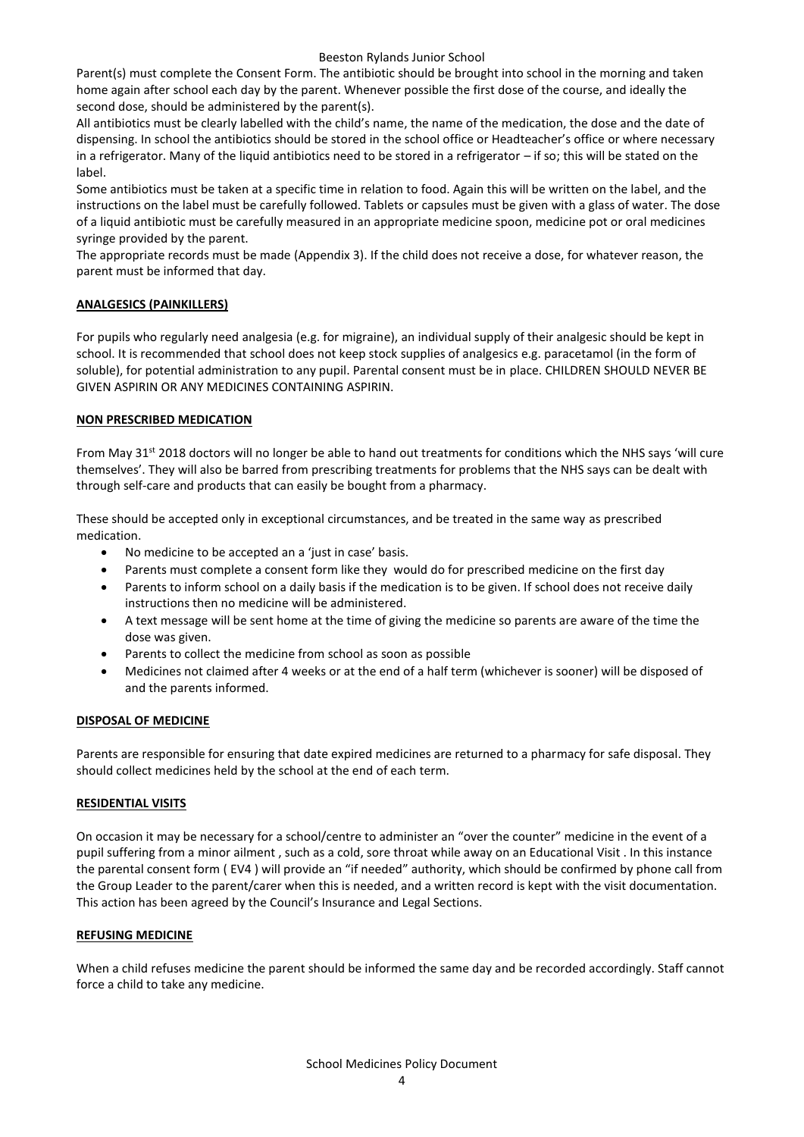#### Beeston Rylands Junior School

Parent(s) must complete the Consent Form. The antibiotic should be brought into school in the morning and taken home again after school each day by the parent. Whenever possible the first dose of the course, and ideally the second dose, should be administered by the parent(s).

All antibiotics must be clearly labelled with the child's name, the name of the medication, the dose and the date of dispensing. In school the antibiotics should be stored in the school office or Headteacher's office or where necessary in a refrigerator. Many of the liquid antibiotics need to be stored in a refrigerator – if so; this will be stated on the label.

Some antibiotics must be taken at a specific time in relation to food. Again this will be written on the label, and the instructions on the label must be carefully followed. Tablets or capsules must be given with a glass of water. The dose of a liquid antibiotic must be carefully measured in an appropriate medicine spoon, medicine pot or oral medicines syringe provided by the parent.

The appropriate records must be made (Appendix 3). If the child does not receive a dose, for whatever reason, the parent must be informed that day.

#### **ANALGESICS (PAINKILLERS)**

For pupils who regularly need analgesia (e.g. for migraine), an individual supply of their analgesic should be kept in school. It is recommended that school does not keep stock supplies of analgesics e.g. paracetamol (in the form of soluble), for potential administration to any pupil. Parental consent must be in place. CHILDREN SHOULD NEVER BE GIVEN ASPIRIN OR ANY MEDICINES CONTAINING ASPIRIN.

#### **NON PRESCRIBED MEDICATION**

From May 31<sup>st</sup> 2018 doctors will no longer be able to hand out treatments for conditions which the NHS says 'will cure themselves'. They will also be barred from prescribing treatments for problems that the NHS says can be dealt with through self-care and products that can easily be bought from a pharmacy.

These should be accepted only in exceptional circumstances, and be treated in the same way as prescribed medication.

- No medicine to be accepted an a 'just in case' basis.
- Parents must complete a consent form like they would do for prescribed medicine on the first day
- Parents to inform school on a daily basis if the medication is to be given. If school does not receive daily instructions then no medicine will be administered.
- A text message will be sent home at the time of giving the medicine so parents are aware of the time the dose was given.
- Parents to collect the medicine from school as soon as possible
- Medicines not claimed after 4 weeks or at the end of a half term (whichever is sooner) will be disposed of and the parents informed.

#### **DISPOSAL OF MEDICINE**

Parents are responsible for ensuring that date expired medicines are returned to a pharmacy for safe disposal. They should collect medicines held by the school at the end of each term.

#### **RESIDENTIAL VISITS**

On occasion it may be necessary for a school/centre to administer an "over the counter" medicine in the event of a pupil suffering from a minor ailment , such as a cold, sore throat while away on an Educational Visit . In this instance the parental consent form ( EV4 ) will provide an "if needed" authority, which should be confirmed by phone call from the Group Leader to the parent/carer when this is needed, and a written record is kept with the visit documentation. This action has been agreed by the Council's Insurance and Legal Sections.

#### **REFUSING MEDICINE**

When a child refuses medicine the parent should be informed the same day and be recorded accordingly. Staff cannot force a child to take any medicine.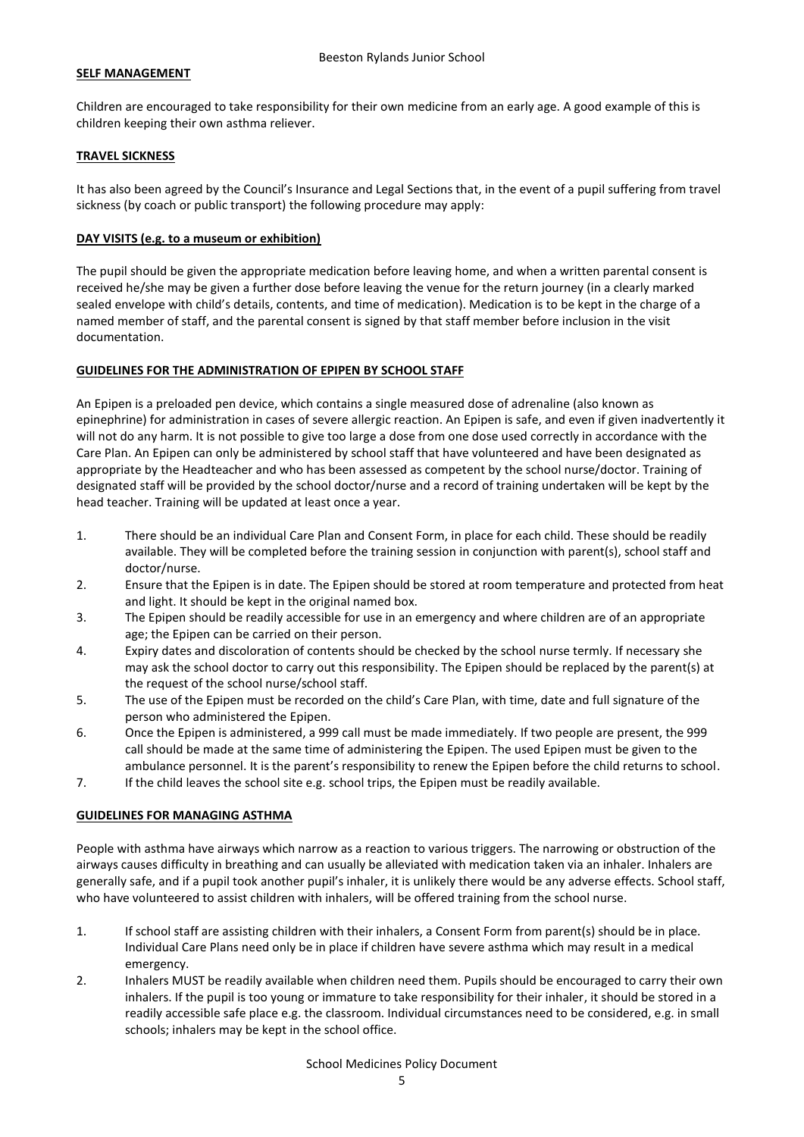#### **SELF MANAGEMENT**

Children are encouraged to take responsibility for their own medicine from an early age. A good example of this is children keeping their own asthma reliever.

#### **TRAVEL SICKNESS**

It has also been agreed by the Council's Insurance and Legal Sections that, in the event of a pupil suffering from travel sickness (by coach or public transport) the following procedure may apply:

#### **DAY VISITS (e.g. to a museum or exhibition)**

The pupil should be given the appropriate medication before leaving home, and when a written parental consent is received he/she may be given a further dose before leaving the venue for the return journey (in a clearly marked sealed envelope with child's details, contents, and time of medication). Medication is to be kept in the charge of a named member of staff, and the parental consent is signed by that staff member before inclusion in the visit documentation.

#### **GUIDELINES FOR THE ADMINISTRATION OF EPIPEN BY SCHOOL STAFF**

An Epipen is a preloaded pen device, which contains a single measured dose of adrenaline (also known as epinephrine) for administration in cases of severe allergic reaction. An Epipen is safe, and even if given inadvertently it will not do any harm. It is not possible to give too large a dose from one dose used correctly in accordance with the Care Plan. An Epipen can only be administered by school staff that have volunteered and have been designated as appropriate by the Headteacher and who has been assessed as competent by the school nurse/doctor. Training of designated staff will be provided by the school doctor/nurse and a record of training undertaken will be kept by the head teacher. Training will be updated at least once a year.

- 1. There should be an individual Care Plan and Consent Form, in place for each child. These should be readily available. They will be completed before the training session in conjunction with parent(s), school staff and doctor/nurse.
- 2. Ensure that the Epipen is in date. The Epipen should be stored at room temperature and protected from heat and light. It should be kept in the original named box.
- 3. The Epipen should be readily accessible for use in an emergency and where children are of an appropriate age; the Epipen can be carried on their person.
- 4. Expiry dates and discoloration of contents should be checked by the school nurse termly. If necessary she may ask the school doctor to carry out this responsibility. The Epipen should be replaced by the parent(s) at the request of the school nurse/school staff.
- 5. The use of the Epipen must be recorded on the child's Care Plan, with time, date and full signature of the person who administered the Epipen.
- 6. Once the Epipen is administered, a 999 call must be made immediately. If two people are present, the 999 call should be made at the same time of administering the Epipen. The used Epipen must be given to the ambulance personnel. It is the parent's responsibility to renew the Epipen before the child returns to school.
- 7. If the child leaves the school site e.g. school trips, the Epipen must be readily available.

#### **GUIDELINES FOR MANAGING ASTHMA**

People with asthma have airways which narrow as a reaction to various triggers. The narrowing or obstruction of the airways causes difficulty in breathing and can usually be alleviated with medication taken via an inhaler. Inhalers are generally safe, and if a pupil took another pupil's inhaler, it is unlikely there would be any adverse effects. School staff, who have volunteered to assist children with inhalers, will be offered training from the school nurse.

- 1. If school staff are assisting children with their inhalers, a Consent Form from parent(s) should be in place. Individual Care Plans need only be in place if children have severe asthma which may result in a medical emergency.
- 2. Inhalers MUST be readily available when children need them. Pupils should be encouraged to carry their own inhalers. If the pupil is too young or immature to take responsibility for their inhaler, it should be stored in a readily accessible safe place e.g. the classroom. Individual circumstances need to be considered, e.g. in small schools; inhalers may be kept in the school office.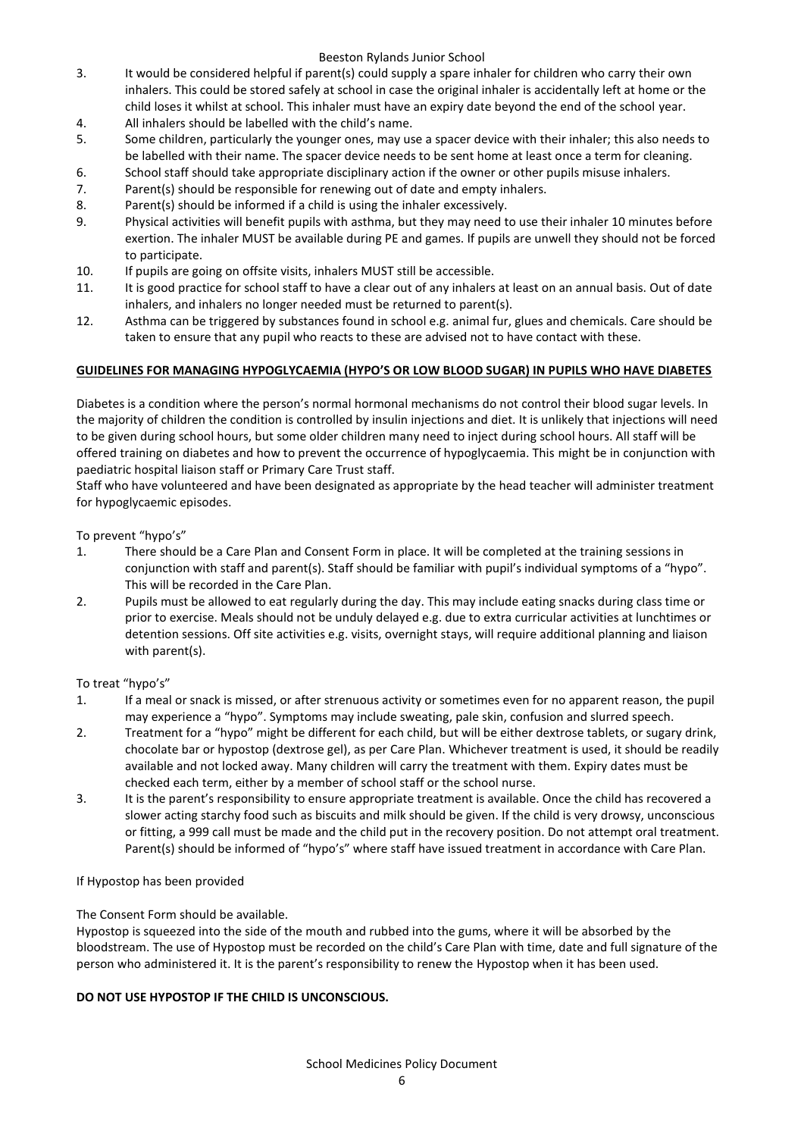#### Beeston Rylands Junior School

- 3. It would be considered helpful if parent(s) could supply a spare inhaler for children who carry their own inhalers. This could be stored safely at school in case the original inhaler is accidentally left at home or the child loses it whilst at school. This inhaler must have an expiry date beyond the end of the school year.
- 4. All inhalers should be labelled with the child's name.
- 5. Some children, particularly the younger ones, may use a spacer device with their inhaler; this also needs to be labelled with their name. The spacer device needs to be sent home at least once a term for cleaning.
- 6. School staff should take appropriate disciplinary action if the owner or other pupils misuse inhalers.
- 7. Parent(s) should be responsible for renewing out of date and empty inhalers.
- 8. Parent(s) should be informed if a child is using the inhaler excessively.
- 9. Physical activities will benefit pupils with asthma, but they may need to use their inhaler 10 minutes before exertion. The inhaler MUST be available during PE and games. If pupils are unwell they should not be forced to participate.
- 10. If pupils are going on offsite visits, inhalers MUST still be accessible.
- 11. It is good practice for school staff to have a clear out of any inhalers at least on an annual basis. Out of date inhalers, and inhalers no longer needed must be returned to parent(s).
- 12. Asthma can be triggered by substances found in school e.g. animal fur, glues and chemicals. Care should be taken to ensure that any pupil who reacts to these are advised not to have contact with these.

#### **GUIDELINES FOR MANAGING HYPOGLYCAEMIA (HYPO'S OR LOW BLOOD SUGAR) IN PUPILS WHO HAVE DIABETES**

Diabetes is a condition where the person's normal hormonal mechanisms do not control their blood sugar levels. In the majority of children the condition is controlled by insulin injections and diet. It is unlikely that injections will need to be given during school hours, but some older children many need to inject during school hours. All staff will be offered training on diabetes and how to prevent the occurrence of hypoglycaemia. This might be in conjunction with paediatric hospital liaison staff or Primary Care Trust staff.

Staff who have volunteered and have been designated as appropriate by the head teacher will administer treatment for hypoglycaemic episodes.

To prevent "hypo's"

- 1. There should be a Care Plan and Consent Form in place. It will be completed at the training sessions in conjunction with staff and parent(s). Staff should be familiar with pupil's individual symptoms of a "hypo". This will be recorded in the Care Plan.
- 2. Pupils must be allowed to eat regularly during the day. This may include eating snacks during class time or prior to exercise. Meals should not be unduly delayed e.g. due to extra curricular activities at lunchtimes or detention sessions. Off site activities e.g. visits, overnight stays, will require additional planning and liaison with parent(s).

To treat "hypo's"

- 1. If a meal or snack is missed, or after strenuous activity or sometimes even for no apparent reason, the pupil may experience a "hypo". Symptoms may include sweating, pale skin, confusion and slurred speech.
- 2. Treatment for a "hypo" might be different for each child, but will be either dextrose tablets, or sugary drink, chocolate bar or hypostop (dextrose gel), as per Care Plan. Whichever treatment is used, it should be readily available and not locked away. Many children will carry the treatment with them. Expiry dates must be checked each term, either by a member of school staff or the school nurse.
- 3. It is the parent's responsibility to ensure appropriate treatment is available. Once the child has recovered a slower acting starchy food such as biscuits and milk should be given. If the child is very drowsy, unconscious or fitting, a 999 call must be made and the child put in the recovery position. Do not attempt oral treatment. Parent(s) should be informed of "hypo's" where staff have issued treatment in accordance with Care Plan.

#### If Hypostop has been provided

The Consent Form should be available.

Hypostop is squeezed into the side of the mouth and rubbed into the gums, where it will be absorbed by the bloodstream. The use of Hypostop must be recorded on the child's Care Plan with time, date and full signature of the person who administered it. It is the parent's responsibility to renew the Hypostop when it has been used.

#### **DO NOT USE HYPOSTOP IF THE CHILD IS UNCONSCIOUS.**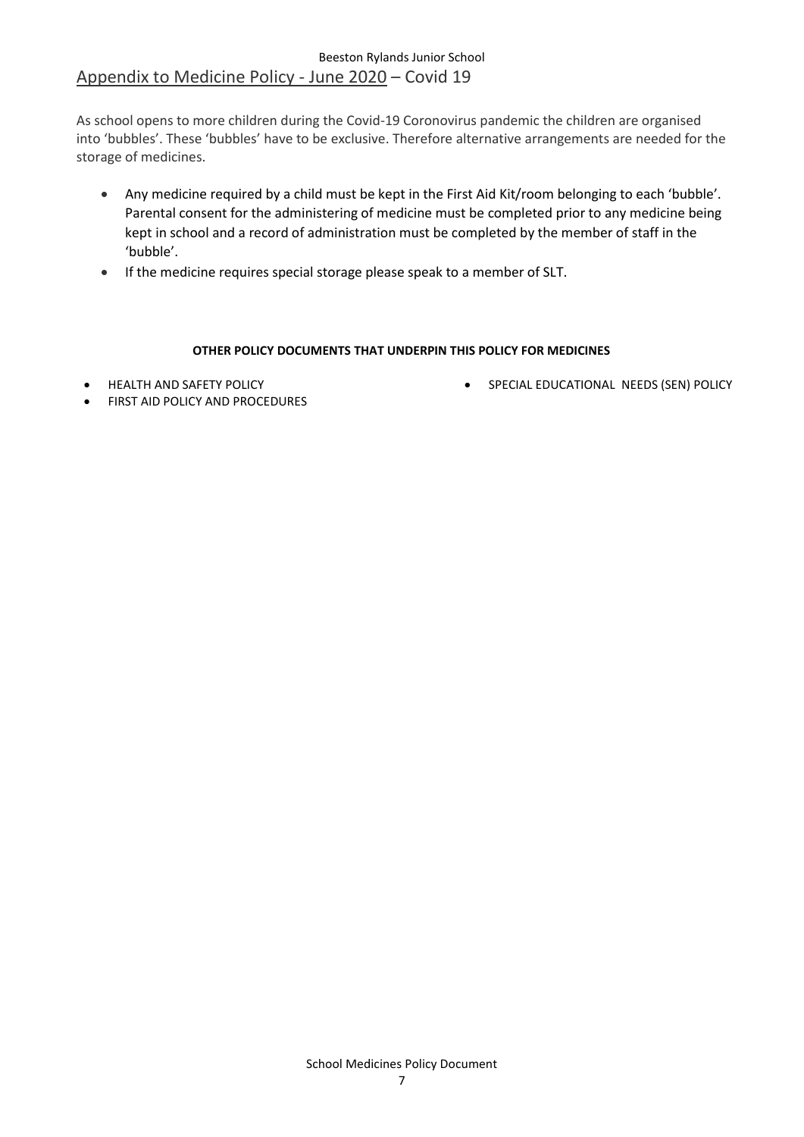### Beeston Rylands Junior School Appendix to Medicine Policy - June 2020 – Covid 19

As school opens to more children during the Covid-19 Coronovirus pandemic the children are organised into 'bubbles'. These 'bubbles' have to be exclusive. Therefore alternative arrangements are needed for the storage of medicines.

- Any medicine required by a child must be kept in the First Aid Kit/room belonging to each 'bubble'. Parental consent for the administering of medicine must be completed prior to any medicine being kept in school and a record of administration must be completed by the member of staff in the 'bubble'.
- If the medicine requires special storage please speak to a member of SLT.

#### **OTHER POLICY DOCUMENTS THAT UNDERPIN THIS POLICY FOR MEDICINES**

• HEALTH AND SAFETY POLICY

• SPECIAL EDUCATIONAL NEEDS (SEN) POLICY

FIRST AID POLICY AND PROCEDURES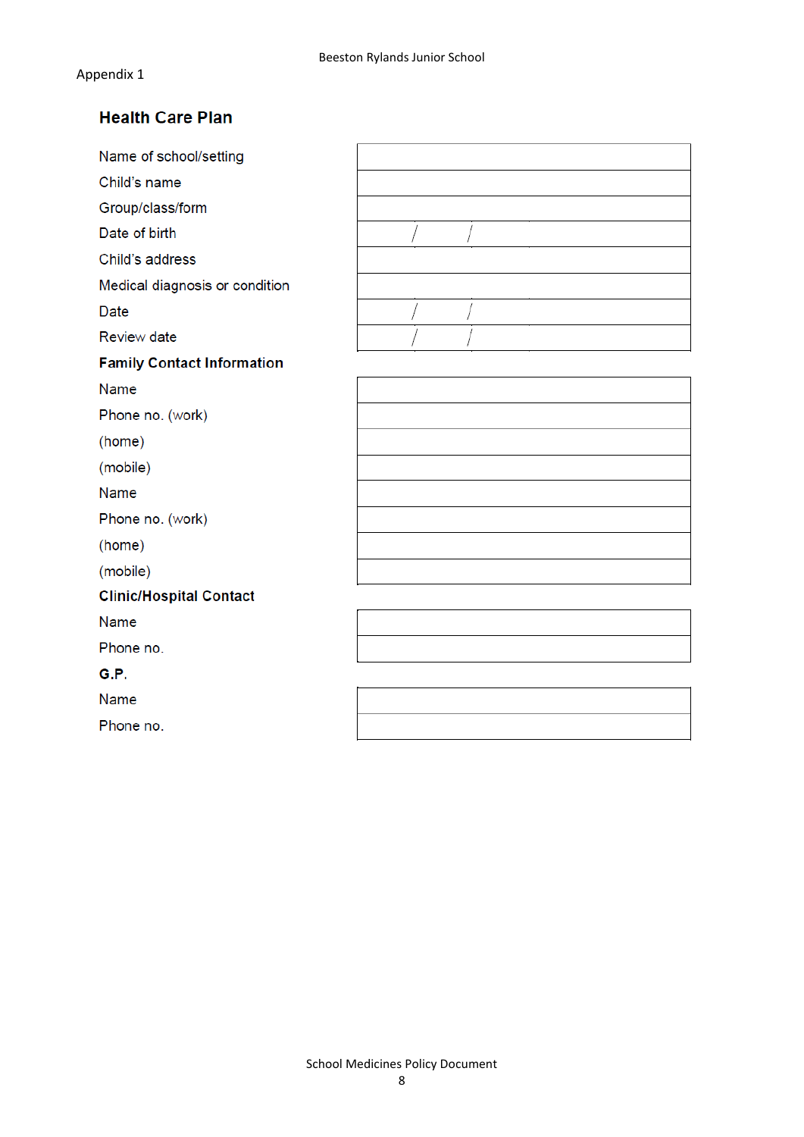## **Health Care Plan**

| Name of school/setting            |  |
|-----------------------------------|--|
| Child's name                      |  |
| Group/class/form                  |  |
| Date of birth                     |  |
| Child's address                   |  |
| Medical diagnosis or condition    |  |
| <b>Date</b>                       |  |
| <b>Review date</b>                |  |
| <b>Family Contact Information</b> |  |
| Name                              |  |
| Phone no. (work)                  |  |
| (home)                            |  |
| (mobile)                          |  |
| Name                              |  |
| Phone no. (work)                  |  |
| (home)                            |  |
| (mobile)                          |  |
| <b>Clinic/Hospital Contact</b>    |  |
| Name                              |  |
| Phone no.                         |  |
| G.P.                              |  |
| Name                              |  |
| Phone no.                         |  |
|                                   |  |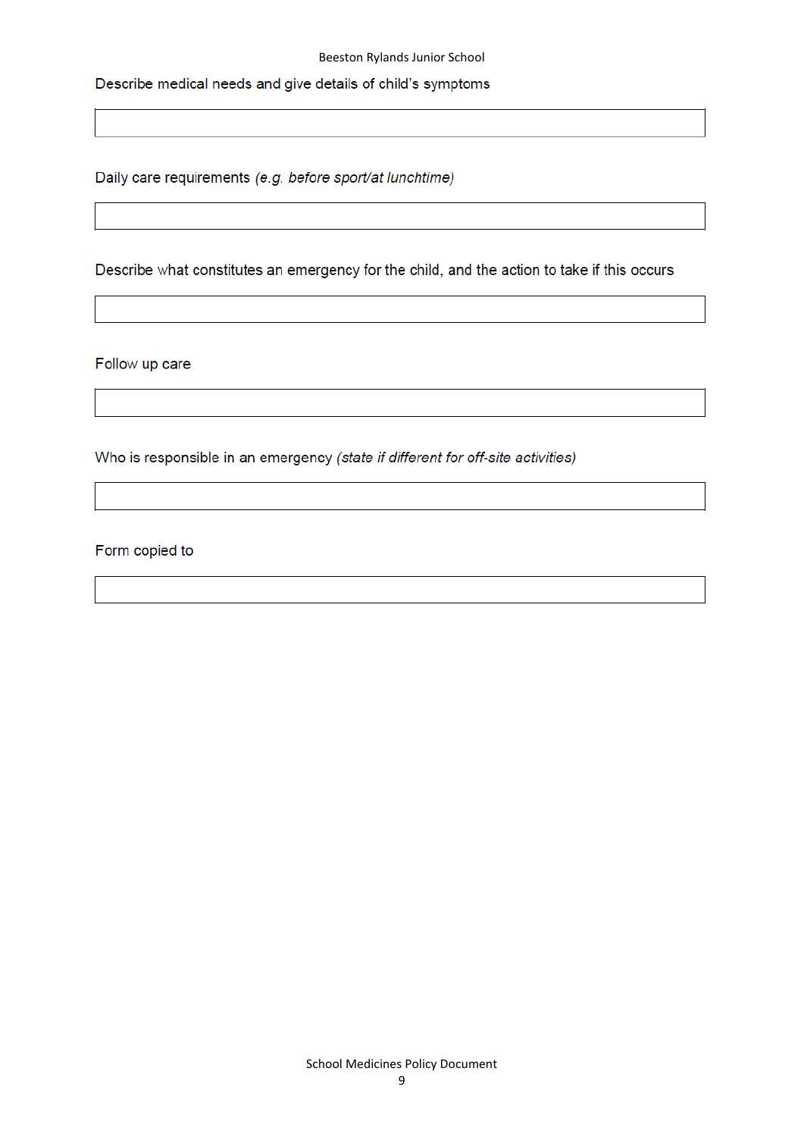Describe medical needs and give details of child's symptoms

Daily care requirements (e.g. before sport/at lunchtime)

Describe what constitutes an emergency for the child, and the action to take if this occurs

Follow up care

Who is responsible in an emergency (state if different for off-site activities)

Form copied to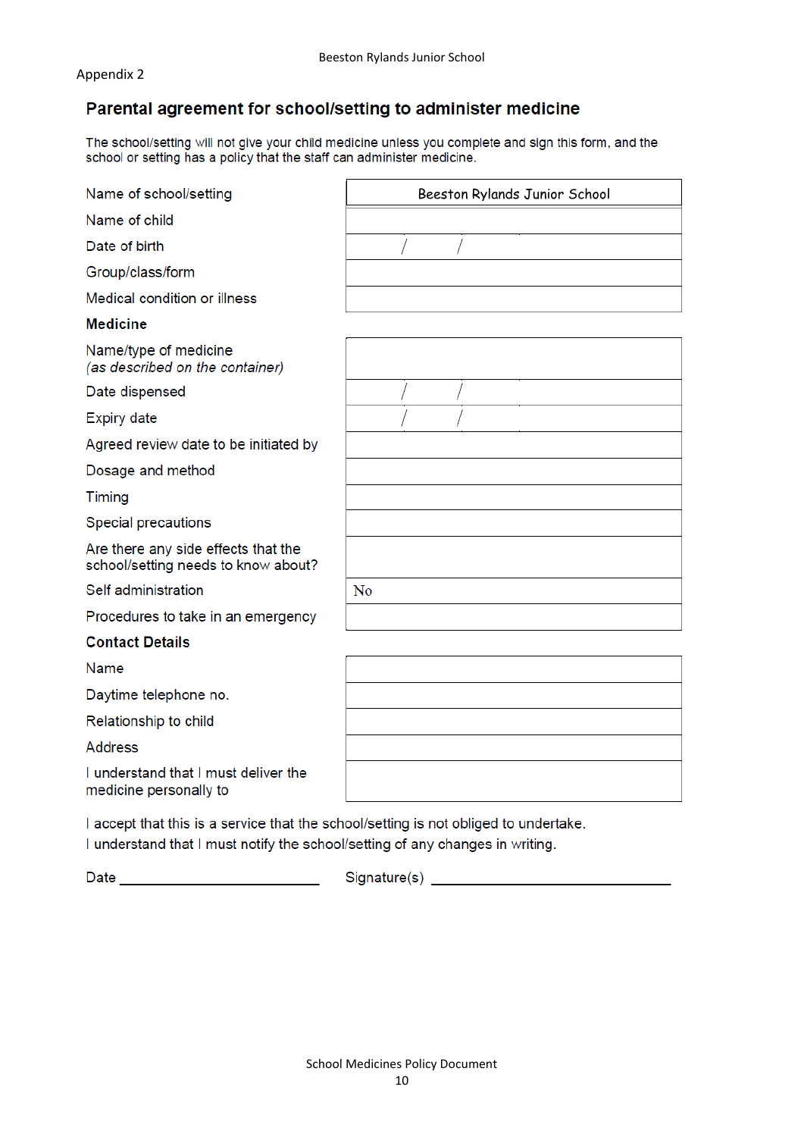### Parental agreement for school/setting to administer medicine

The school/setting will not give your child medicine unless you complete and sign this form, and the school or setting has a policy that the staff can administer medicine.

| Name of school/setting                                                               | Beeston Rylands Junior School |  |  |
|--------------------------------------------------------------------------------------|-------------------------------|--|--|
| Name of child                                                                        |                               |  |  |
| Date of birth                                                                        |                               |  |  |
| Group/class/form                                                                     |                               |  |  |
| Medical condition or illness                                                         |                               |  |  |
| <b>Medicine</b>                                                                      |                               |  |  |
| Name/type of medicine<br>(as described on the container)                             |                               |  |  |
| Date dispensed                                                                       |                               |  |  |
| <b>Expiry date</b>                                                                   |                               |  |  |
| Agreed review date to be initiated by                                                |                               |  |  |
| Dosage and method                                                                    |                               |  |  |
| <b>Timing</b>                                                                        |                               |  |  |
| Special precautions                                                                  |                               |  |  |
| Are there any side effects that the<br>school/setting needs to know about?           |                               |  |  |
| Self administration                                                                  | N <sub>0</sub>                |  |  |
| Procedures to take in an emergency                                                   |                               |  |  |
| <b>Contact Details</b>                                                               |                               |  |  |
| Name                                                                                 |                               |  |  |
| Daytime telephone no.                                                                |                               |  |  |
| Relationship to child                                                                |                               |  |  |
| <b>Address</b>                                                                       |                               |  |  |
| I understand that I must deliver the<br>medicine personally to                       |                               |  |  |
| I accept that this is a service that the school/setting is not obliged to undertake. |                               |  |  |

I understand that I must notify the school/setting of any changes in writing.

Date \_\_\_\_\_\_\_\_\_\_\_\_\_\_\_\_\_\_\_\_\_\_\_\_\_\_\_\_\_\_\_\_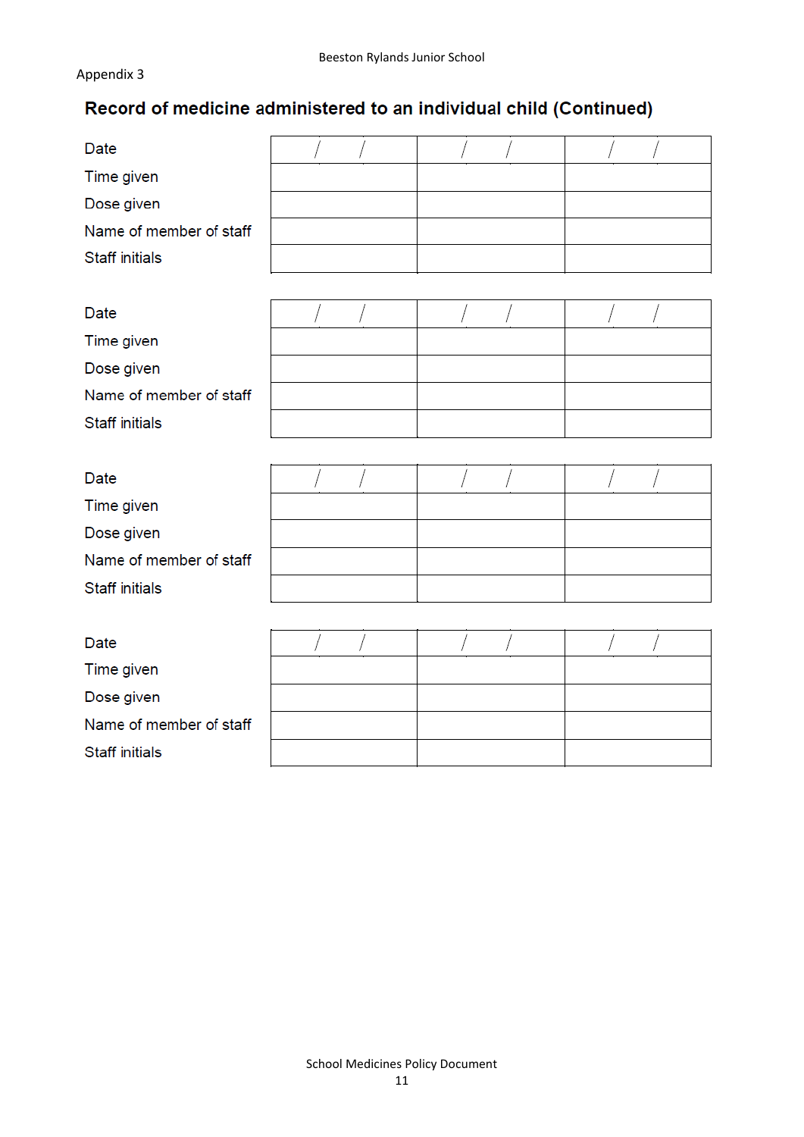# Record of medicine administered to an individual child (Continued)

| <b>Date</b><br>Time given<br>Dose given<br>Name of member of staff<br><b>Staff initials</b> |  |  |
|---------------------------------------------------------------------------------------------|--|--|
| Date<br>Time given<br>Dose given<br>Name of member of staff<br><b>Staff initials</b>        |  |  |
| <b>Date</b><br>Time given<br>Dose given<br>Name of member of staff<br><b>Staff initials</b> |  |  |
| Date<br>Time given<br>Dose given<br>Name of member of staff<br><b>Staff initials</b>        |  |  |